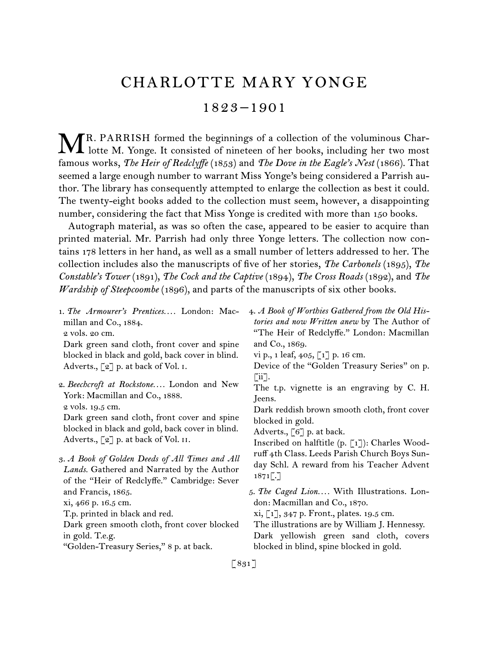## CHARLOTTE MARY YONGE 1823 –1901

R. PARRISH formed the beginnings of a collection of the voluminous Char-MR. PARRISH formed the beginnings of a collection of the voluminous Char-<br>lotte M. Yonge. It consisted of nineteen of her books, including her two most famous works, *The Heir of Redclyffe* (1853) and *The Dove in the Eagle's Nest* (1866). That seemed a large enough number to warrant Miss Yonge's being considered a Parrish author. The library has consequently attempted to enlarge the collection as best it could. The twenty-eight books added to the collection must seem, however, a disappointing number, considering the fact that Miss Yonge is credited with more than 150 books.

Autograph material, as was so often the case, appeared to be easier to acquire than printed material. Mr. Parrish had only three Yonge letters. The collection now contains 178 letters in her hand, as well as a small number of letters addressed to her. The collection includes also the manuscripts of five of her stories, *The Carbonels* (1895), *The Constable's Tower* (1891), *The Cock and the Captive* (1894), *The Cross Roads* (1892), and *The Wardship of Steepcoombe* (1896), and parts of the manuscripts of six other books.

1.  *The Armourer's Prentices. . . .* London: Macmillan and Co., 1884.

2 vols. 20 cm.

Dark green sand cloth, front cover and spine blocked in black and gold, back cover in blind. Adverts.,  $\lbrack 2 \rbrack$  p. at back of Vol. I.

2.  *Beechcroft at Rockstone. . . .* London and New York: Macmillan and Co., 1888. 2 vols. 19.5 cm.

Dark green sand cloth, front cover and spine blocked in black and gold, back cover in blind. Adverts.,  $\lceil 2 \rceil$  p. at back of Vol. II.

3.  *A Book of Golden Deeds of All Times and All Lands.* Gathered and Narrated by the Author of the "Heir of Redclyffe." Cambridge: Sever and Francis, 1865.

xi, 466 p. 16.5 cm.

T.p. printed in black and red.

Dark green smooth cloth, front cover blocked in gold. T.e.g.

"Golden-Treasury Series," 8 p. at back.

4.  *A Book of Worthies Gathered from the Old Histories and now Written anew* by The Author of "The Heir of Redclyffe." London: Macmillan and Co., 1869.

vi p., 1 leaf, 405, [1] p. 16 cm.

Device of the "Golden Treasury Series" on p.  $\lceil ii \rceil$ .

The t.p. vignette is an engraving by C. H. Jeens.

Dark reddish brown smooth cloth, front cover blocked in gold.

Adverts., [6] p. at back.

Inscribed on halftitle (p. [1]): Charles Woodruff 4th Class. Leeds Parish Church Boys Sunday Schl. A reward from his Teacher Advent  $1871$ .

5.  *The Caged Lion. . . .* With Illustrations. London: Macmillan and Co., 1870.

xi, [1], 347 p. Front., plates. 19.5 cm.

The illustrations are by William J. Hennessy.

Dark yellowish green sand cloth, covers blocked in blind, spine blocked in gold.

[ 831 ]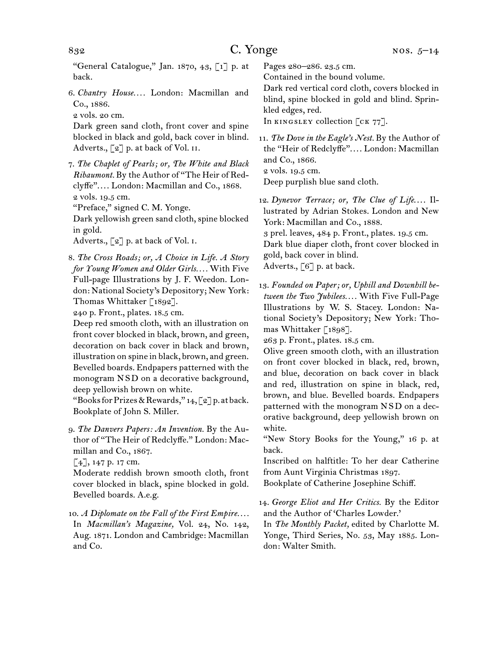"General Catalogue," Jan. 1870, 43, [1] p. at back.

6.  *Chantry House. . . .* London: Macmillan and Co., 1886.

2 vols. 20 cm.

Dark green sand cloth, front cover and spine blocked in black and gold, back cover in blind. Adverts., [2] p. at back of Vol. II.

7.  *The Chaplet of Pearls; or, The White and Black Ribaumont.* By the Author of "The Heir of Redclyffe". . . . London: Macmillan and Co., 1868. 2 vols. 19.5 cm.

"Preface," signed C. M. Yonge.

Dark yellowish green sand cloth, spine blocked in gold.

Adverts., [2] p. at back of Vol. I.

8.  *The Cross Roads; or, A Choice in Life. A Story for Young Women and Older Girls. . . .* With Five Full-page Illustrations by J. F. Weedon. London: National Society's Depository; New York: Thomas Whittaker [1892].

240 p. Front., plates. 18.5 cm.

Deep red smooth cloth, with an illustration on front cover blocked in black, brown, and green, decoration on back cover in black and brown, illustration on spine in black, brown, and green. Bevelled boards. Endpapers patterned with the monogram N S D on a decorative background, deep yellowish brown on white.

"Books for Prizes & Rewards,"  $14$ , [2] p. at back. Bookplate of John S. Miller.

9.  *The Danvers Papers: An Invention.* By the Author of "The Heir of Redclyffe." London: Macmillan and Co., 1867.

 $[4]$ , 147 p. 17 cm.

Moderate reddish brown smooth cloth, front cover blocked in black, spine blocked in gold. Bevelled boards. A.e.g.

10.  *A Diplomate on the Fall of the First Empire. . . .* In *Macmillan's Magazine,* Vol. 24, No. 142, Aug. 1871. London and Cambridge: Macmillan and Co.

Pages 280–286. 23.5 cm.

Contained in the bound volume.

Dark red vertical cord cloth, covers blocked in blind, spine blocked in gold and blind. Sprinkled edges, red.

In KINGSLEY collection [CK 77].

11.  *The Dove in the Eagle's Nest.* By the Author of the "Heir of Redclyffe". . . . London: Macmillan and Co., 1866.

2 vols. 19.5 cm.

Deep purplish blue sand cloth.

12.  *Dynevor Terrace; or, The Clue of Life*. . . . Illustrated by Adrian Stokes. London and New York: Macmillan and Co., 1888.

3 prel. leaves, 484 p. Front., plates. 19.5 cm.

Dark blue diaper cloth, front cover blocked in gold, back cover in blind.

Adverts., [6] p. at back.

13.  *Founded on Paper; or, Uphill and Downhill between the Two Jubilees. . . .* With Five Full-Page Illustrations by W. S. Stacey. London: National Society's Depository; New York: Thomas Whittaker [1898].

263 p. Front., plates. 18.5 cm.

Olive green smooth cloth, with an illustration on front cover blocked in black, red, brown, and blue, decoration on back cover in black and red, illustration on spine in black, red, brown, and blue. Bevelled boards. Endpapers patterned with the monogram N S D on a decorative background, deep yellowish brown on white.

"New Story Books for the Young," 16 p. at back.

Inscribed on halftitle: To her dear Catherine from Aunt Virginia Christmas 1897.

Bookplate of Catherine Josephine Schiff.

14.  *George Eliot and Her Critics.* By the Editor and the Author of 'Charles Lowder.'

In *The Monthly Packet,* edited by Charlotte M. Yonge, Third Series, No. 53, May 1885. London: Walter Smith.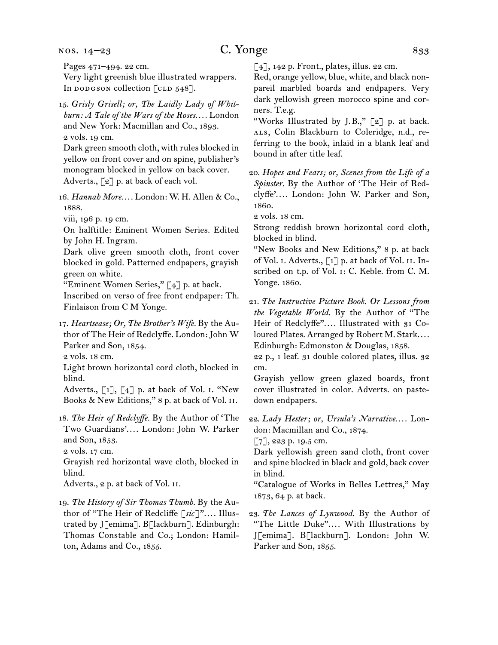nos. 14–23

Pages 471–494. 22 cm. Very light greenish blue illustrated wrappers. In dodgson collection  $\lceil$  cLD 548].

15.  *Grisly Grisell; or, The Laidly Lady of Whitburn: A Tale of the Wars of the Roses. . . .* London and New York: Macmillan and Co., 1893. 2 vols. 19 cm.

Dark green smooth cloth, with rules blocked in yellow on front cover and on spine, publisher's monogram blocked in yellow on back cover. Adverts., [2] p. at back of each vol.

16.  *Hannah More*. . . . London: W. H. Allen & Co., 1888.

viii, 196 p. 19 cm.

On halftitle: Eminent Women Series. Edited by John H. Ingram.

Dark olive green smooth cloth, front cover blocked in gold. Patterned endpapers, grayish green on white.

"Eminent Women Series," [4] p. at back.

Inscribed on verso of free front endpaper: Th. Finlaison from C M Yonge.

17.  *Heartsease; Or, The Brother's Wife.* By the Author of The Heir of Redclyffe. London: John W Parker and Son, 1854.

2 vols. 18 cm.

Light brown horizontal cord cloth, blocked in blind.

Adverts.,  $\begin{bmatrix} 1 \end{bmatrix}$ ,  $\begin{bmatrix} 4 \end{bmatrix}$  p. at back of Vol. I. "New Books & New Editions," 8 p. at back of Vol. ii.

18.  *The Heir of Redclyffe.* By the Author of 'The Two Guardians'. . . . London: John W. Parker and Son, 1853.

2 vols. 17 cm.

Grayish red horizontal wave cloth, blocked in blind.

Adverts., 2 p. at back of Vol. ii.

19.  *The History of Sir Thomas Thumb.* By the Author of "The Heir of Redcliffe [*sic*]". . . . Illustrated by J[emima]. B[lackburn]. Edinburgh: Thomas Constable and Co.; London: Hamilton, Adams and Co., 1855.

 $[4]$ , 142 p. Front., plates, illus. 22 cm.

Red, orange yellow, blue, white, and black nonpareil marbled boards and endpapers. Very dark yellowish green morocco spine and corners. T.e.g.

"Works Illustrated by J.B.,"  $\lceil 2 \rceil$  p. at back. ALS, Colin Blackburn to Coleridge, n.d., referring to the book, inlaid in a blank leaf and bound in after title leaf.

20.  *Hopes and Fears; or, Scenes from the Life of a Spinster.* By the Author of 'The Heir of Redclyffe'. . . . London: John W. Parker and Son, 1860.

2 vols. 18 cm.

Strong reddish brown horizontal cord cloth, blocked in blind.

"New Books and New Editions," 8 p. at back of Vol. I. Adverts., [1] p. at back of Vol. II. Inscribed on t.p. of Vol. i: C. Keble. from C. M. Yonge. 1860.

21.  *The Instructive Picture Book. Or Lessons from the Vegetable World.* By the Author of "The Heir of Redclyffe".... Illustrated with 31 Coloured Plates. Arranged by Robert M. Stark.... Edinburgh: Edmonston & Douglas, 1858.

22 p., 1 leaf. 31 double colored plates, illus. 32 cm.

Grayish yellow green glazed boards, front cover illustrated in color. Adverts. on pastedown endpapers.

22.  *Lady Hester; or, Ursula's Narrative*. . . . London: Macmillan and Co., 1874.

[7], 223 p. 19.5 cm.

Dark yellowish green sand cloth, front cover and spine blocked in black and gold, back cover in blind.

"Catalogue of Works in Belles Lettres," May 1873, 64 p. at back.

23.  *The Lances of Lynwood.* By the Author of "The Little Duke". . . . With Illustrations by J[emima]. B[lackburn]. London: John W. Parker and Son, 1855.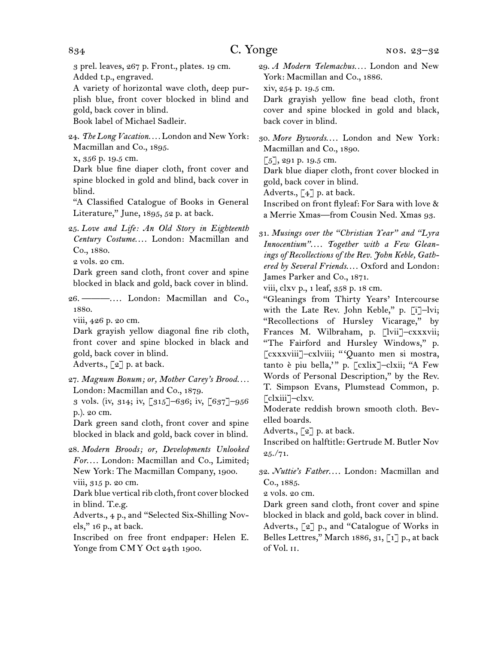3 prel. leaves, 267 p. Front., plates. 19 cm. Added t.p., engraved.

A variety of horizontal wave cloth, deep purplish blue, front cover blocked in blind and gold, back cover in blind.

Book label of Michael Sadleir.

24.  *The Long Vacation. . . .* London and New York: Macmillan and Co., 1895.

x, 356 p. 19.5 cm.

Dark blue fine diaper cloth, front cover and spine blocked in gold and blind, back cover in blind.

"A Classified Catalogue of Books in General Literature," June, 1895, 52 p. at back.

25.  *Love and Life: An Old Story in Eighteenth Century Costume*. . . . London: Macmillan and Co., 1880.

2 vols. 20 cm.

Dark green sand cloth, front cover and spine blocked in black and gold, back cover in blind.

26.  ———. . . . London: Macmillan and Co., 1880.

viii, 426 p. 20 cm.

Dark grayish yellow diagonal fine rib cloth, front cover and spine blocked in black and gold, back cover in blind.

Adverts., [2] p. at back.

27.  *Magnum Bonum; or, Mother Carey's Brood. . . .* London: Macmillan and Co., 1879.

3 vols. (iv, 314; iv, [315]–636; iv, [637]–956 p.). 20 cm.

Dark green sand cloth, front cover and spine blocked in black and gold, back cover in blind.

28.  *Modern Broods; or, Developments Unlooked For*. . . . London: Macmillan and Co., Limited; New York: The Macmillan Company, 1900. viii, 315 p. 20 cm.

Dark blue vertical rib cloth, front cover blocked in blind. T.e.g.

Adverts., 4 p., and "Selected Six-Shilling Novels," 16 p., at back.

Inscribed on free front endpaper: Helen E. Yonge from CMY Oct 24th 1900.

29.  *A Modern Telemachus. . . .* London and New York: Macmillan and Co., 1886.

xiv, 254 p. 19.5 cm.

Dark grayish yellow fine bead cloth, front cover and spine blocked in gold and black, back cover in blind.

30.  *More Bywords*. . . . London and New York: Macmillan and Co., 1890.

 $\lceil 5 \rceil$ , 291 p. 19.5 cm.

Dark blue diaper cloth, front cover blocked in gold, back cover in blind.

Adverts.,  $\lceil 4 \rceil$  p. at back.

Inscribed on front flyleaf: For Sara with love & a Merrie Xmas—from Cousin Ned. Xmas 93.

31.  *Musings over the "Christian Year" and "Lyra Innocentium"*. . . . *Together with a Few Gleanings of Recollections of the Rev. John Keble, Gathered by Several Friends*. . . . Oxford and London: James Parker and Co., 1871.

viii, clxv p., 1 leaf, 358 p. 18 cm.

"Gleanings from Thirty Years' Intercourse with the Late Rev. John Keble," p. [i]-lvi; "Recollections of Hursley Vicarage," by Frances M. Wilbraham, p. [lvii]-cxxxvii; "The Fairford and Hursley Windows," p. [cxxxviii]–cxlviii; " 'Quanto men si mostra, tanto è piu bella,' " p. [cxlix]–clxii; "A Few Words of Personal Description," by the Rev. T. Simpson Evans, Plumstead Common, p. [clxiii]–clxv.

Moderate reddish brown smooth cloth. Bevelled boards.

Adverts., [2] p. at back.

Inscribed on halftitle: Gertrude M. Butler Nov  $25./71.$ 

32.  *Nuttie's Father*. . . . London: Macmillan and Co., 1885.

2 vols. 20 cm.

Dark green sand cloth, front cover and spine blocked in black and gold, back cover in blind. Adverts., [2] p., and "Catalogue of Works in Belles Lettres," March 1886, 31, [1] p., at back of Vol. ii.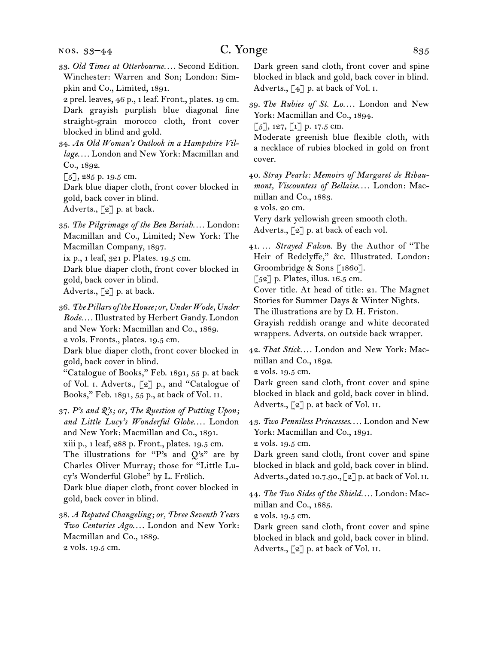nos. 33–44

33.  *Old Times at Otterbourne. . . .* Second Edition. Winchester: Warren and Son; London: Simpkin and Co., Limited, 1891.

2 prel. leaves, 46 p., 1 leaf. Front., plates. 19 cm. Dark grayish purplish blue diagonal fine straight-grain morocco cloth, front cover blocked in blind and gold.

34.  *An Old Woman's Outlook in a Hampshire Village*. . . . London and New York: Macmillan and Co., 1892.

[5], 285 p. 19.5 cm.

Dark blue diaper cloth, front cover blocked in gold, back cover in blind. Adverts., [2] p. at back.

35.  *The Pilgrimage of the Ben Beriah. . . .* London: Macmillan and Co., Limited; New York: The Macmillan Company, 1897.

ix p., 1 leaf, 321 p. Plates. 19.5 cm.

Dark blue diaper cloth, front cover blocked in gold, back cover in blind. Adverts., [2] p. at back.

36.  *The Pillars of the House; or, Under Wode, Under Rode*. . . . Illustrated by Herbert Gandy. London and New York: Macmillan and Co., 1889. 2 vols. Fronts., plates. 19.5 cm.

Dark blue diaper cloth, front cover blocked in gold, back cover in blind.

"Catalogue of Books," Feb. 1891, 55 p. at back of Vol. i. Adverts., [2] p., and "Catalogue of Books," Feb. 1891, 55 p., at back of Vol. ii.

37.  *P's and Q's; or, The Question of Putting Upon; and Little Lucy's Wonderful Globe*. . . . London and New York: Macmillan and Co., 1891. xiii p., 1 leaf, 288 p. Front., plates. 19.5 cm. The illustrations for "P's and  $Q's$ " are by Charles Oliver Murray; those for "Little Lucy's Wonderful Globe" by L. Frölich. Dark blue diaper cloth, front cover blocked in gold, back cover in blind.

38.  *A Reputed Changeling; or, Three Seventh Years Two Centuries Ago*. . . . London and New York: Macmillan and Co., 1889. 2 vols. 19.5 cm.

Dark green sand cloth, front cover and spine blocked in black and gold, back cover in blind. Adverts.,  $\lceil 4 \rceil$  p. at back of Vol. I.

39.  *The Rubies of St. Lo*. . . . London and New York: Macmillan and Co., 1894.

 $\lceil 5 \rceil$ , 127,  $\lceil 1 \rceil$  p. 17.5 cm.

Moderate greenish blue flexible cloth, with a necklace of rubies blocked in gold on front cover.

40.  *Stray Pearls: Memoirs of Margaret de Ribaumont, Viscountess of Bellaise*. . . . London: Macmillan and Co., 1883.

2 vols. 20 cm.

Very dark yellowish green smooth cloth.

Adverts., [2] p. at back of each vol.

41.  … *Strayed Falcon.* By the Author of "The Heir of Redclyffe," &c. Illustrated. London: Groombridge & Sons [1860].

 $\lceil 52 \rceil$  p. Plates, illus. 16.5 cm.

Cover title. At head of title: 21. The Magnet Stories for Summer Days & Winter Nights.

The illustrations are by D. H. Friston.

Grayish reddish orange and white decorated wrappers. Adverts. on outside back wrapper.

42.  *That Stick. . . .* London and New York: Macmillan and Co., 1892.

2 vols. 19.5 cm.

Dark green sand cloth, front cover and spine blocked in black and gold, back cover in blind. Adverts.,  $\lceil 2 \rceil$  p. at back of Vol. II.

43.  *Two Penniless Princesses*. . . . London and New York: Macmillan and Co., 1891.

2 vols. 19.5 cm.

Dark green sand cloth, front cover and spine blocked in black and gold, back cover in blind. Adverts., dated 10.7.90., [2] p. at back of Vol. II.

44.  *The Two Sides of the Shield. . . .* London: Macmillan and Co., 1885.

2 vols. 19.5 cm.

Dark green sand cloth, front cover and spine blocked in black and gold, back cover in blind. Adverts., [2] p. at back of Vol. II.